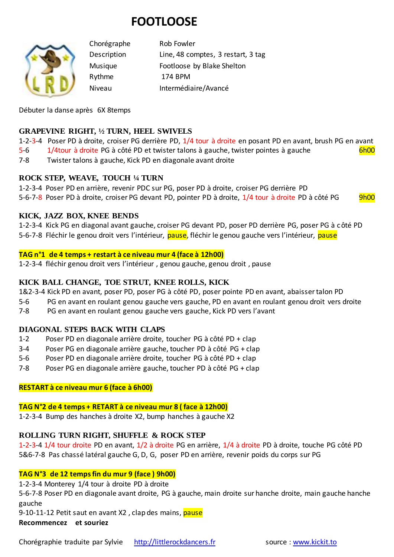# **FOOTLOOSE**



Chorégraphe Rob Fowler Description Line, 48 comptes, 3 restart, 3 tag Musique Footloose by Blake Shelton Rythme 174 BPM Niveau Intermédiaire/Avancé

Débuter la danse après 6X 8temps

### **GRAPEVINE RIGHT, ½ TURN, HEEL SWIVELS**

1-2-3-4 Poser PD à droite, croiser PG derrière PD, 1/4 tour à droite en posant PD en avant, brush PG en avant 5-6 1/4tour à droite PG à côté PD et twister talons à gauche, twister pointes à gauche

7-8 Twister talons à gauche, Kick PD en diagonale avant droite

## **ROCK STEP, WEAVE, TOUCH ¼ TURN**

1-2-3-4 Poser PD en arrière, revenir PDC sur PG, poser PD à droite, croiser PG derrière PD 5-6-7-8 Poser PD à droite, croiser PG devant PD, pointer PD à droite, 1/4 tour à droite PD à côté PG 9h00

#### **KICK, JAZZ BOX, KNEE BENDS**

1-2-3-4 Kick PG en diagonal avant gauche, croiser PG devant PD, poser PD derrière PG, poser PG à côté PD 5-6-7-8 Fléchir le genou droit vers l'intérieur, *pause*, fléchir le genou gauche vers l'intérieur, *pause* 

#### **TAG n°1 de 4 temps + restart à ce niveau mur 4 (face à 12h00)**

1-2-3-4 fléchir genou droit vers l'intérieur , genou gauche, genou droit , pause

#### **KICK BALL CHANGE, TOE STRUT, KNEE ROLLS, KICK**

1&2-3-4 Kick PD en avant, poser PD, poser PG à côté PD, poser pointe PD en avant, abaisser talon PD

- 5-6 PG en avant en roulant genou gauche vers gauche, PD en avant en roulant genou droit vers droite
- 7-8 PG en avant en roulant genou gauche vers gauche, Kick PD vers l'avant

#### **DIAGONAL STEPS BACK WITH CLAPS**

- 1-2 Poser PD en diagonale arrière droite, toucher PG à côté PD + clap
- 3-4 Poser PG en diagonale arrière gauche, toucher PD à côté PG + clap
- 5-6 Poser PD en diagonale arrière droite, toucher PG à côté PD + clap
- 7-8 Poser PG en diagonale arrière gauche, toucher PD à côté PG + clap

#### **RESTART à ce niveau mur 6 (face à 6h00)**

#### **TAG N°2 de 4 temps + RETART à ce niveau mur 8 ( face à 12h00)**

1-2-3-4 Bump des hanches à droite X2, bump hanches à gauche X2

## **ROLLING TURN RIGHT, SHUFFLE & ROCK STEP**

1-2-3-4 1/4 tour droite PD en avant, 1/2 à droite PG en arrière, 1/4 à droite PD à droite, touche PG côté PD 5&6-7-8 Pas chassé latéral gauche G, D, G, poser PD en arrière, revenir poids du corps sur PG

#### **TAG N°3 de 12 temps fin du mur 9 (face ) 9h00)**

1-2-3-4 Monterey 1/4 tour à droite PD à droite

5-6-7-8 Poser PD en diagonale avant droite, PG à gauche, main droite sur hanche droite, main gauche hanche gauche

9-10-11-12 Petit saut en avant X2, clap des mains, pause

#### **Recommencez et souriez**

Chorégraphie traduite par Sylvie [http://littlerockdancers.fr](http://littlerockdancers.fr/) source [: www.kickit.to](http://www.kickit.to/)